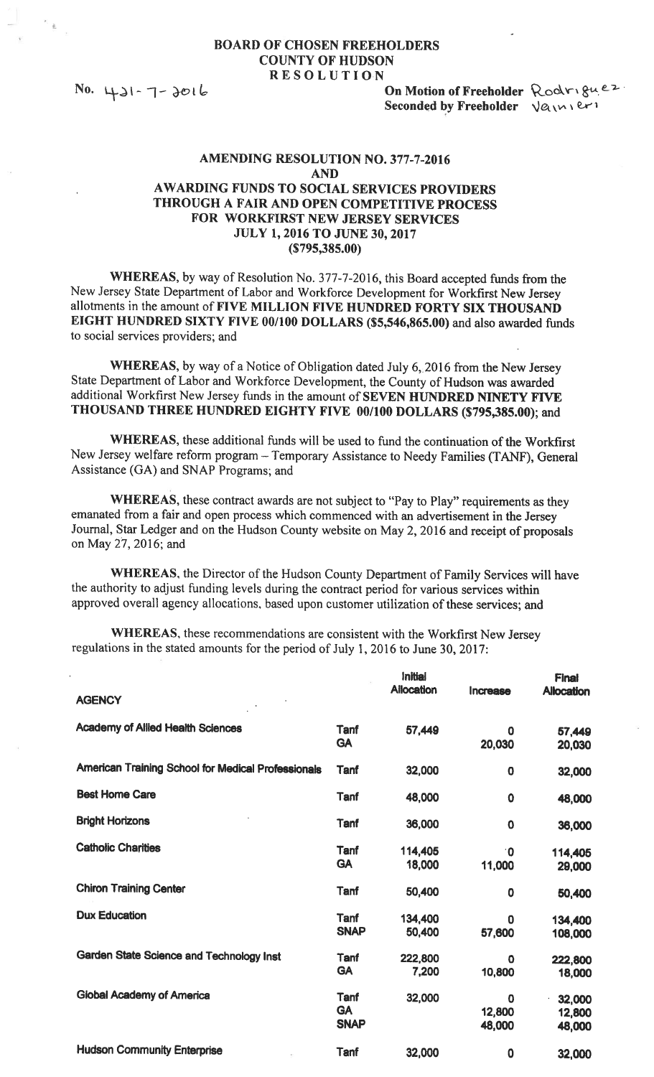## BOARD OF CHOSEN FREEHOLDERS COUNTY OF HUDSON RESOLUTION

 $\ddot{\epsilon}$ 

No. 431-7-Joil Champion Communication of Freeholder Rodriguez Seconded by Freeholder  $\sqrt{a_1}$ 

## AMENDING RESOLUTION NO. 377-7-2016 AND

## AWARDING FUNDS TO SOCIAL SERVICES PROVIDERS THROUGH A FAIR AND OPEN COMPETITIVE PROCESS FOR WORKFIRST NEW JERSEY SERVICES JULY 1, 2016 TO JUNE 30, 2017 (\$795,385.00)

WHEREAS, by way of Resolution No. 377-7-2016, this Board accepted funds from the New Jersey State Department of Labor and Workforce Development for Workfirst New Jersey allotments in the amount of FIVE MILLION FIVE HUNDRED FORTY SIX THOUSAND EIGHT HUNDRED SIXTY FIVE 00/100 DOLLARS (\$5,546,865.00) and also awarded funds to social services providers; and

WHEREAS, by way of <sup>a</sup> Notice of Obligation dated July 6, <sup>2016</sup> from the New Jersey State Department of Labor and Workforce Development, the County of Hudson was awarded additional Workfirst New Jersey funds in the amount of SEVEN HUNDRED NINETY FIVE THOUSAND THREE HUNDRED EIGHTY FIVE 00/100 DOLLARS (\$795,385.00); and

WHEREAS, these additional funds will be used to fund the continuation of the Workfirst New Jersey welfare reform program — Temporary Assistance to Needy Families (TANF), General Assistance (GA) and SNAP Programs; and

WHEREAS, these contract awards are not subject to "Pay to Play" requirements as they emanated from <sup>a</sup> fair and open process which commenced with an advertisement in the Jersey Journal, Star Ledger and on the Hudson County website on May 2, <sup>2016</sup> and receipt of proposals on May 27, 2016; and

WHEREAS, the Director of the Hudson County Department of Family Services will have the authority to adjust funding levels during the contract period for various services within approved overall agency allocations, based upon customer utilization of these services; and

WHEREAS, these recommendations are consistent with the Workfirst New Jersey regulations in the stated amounts for the period of July 1,2016 to June 30, 2017:

|                                                    |             | <b>Initial</b><br><b>Allocation</b> | Increase    | <b>Final</b><br><b>Allocation</b> |
|----------------------------------------------------|-------------|-------------------------------------|-------------|-----------------------------------|
| <b>AGENCY</b>                                      |             |                                     |             |                                   |
| <b>Academy of Allied Health Sciences</b>           | <b>Tanf</b> | 57,449                              | $\mathbf 0$ | 57,449                            |
|                                                    | <b>GA</b>   |                                     | 20,030      | 20,030                            |
| American Training School for Medical Professionals | <b>Tanf</b> | 32,000                              | $\bf{0}$    | 32,000                            |
| <b>Best Home Care</b>                              | <b>Tanf</b> | 48,000                              | $\mathbf 0$ | 48,000                            |
| <b>Bright Horizons</b>                             | <b>Tanf</b> | 36,000                              | $\mathbf 0$ | 36,000                            |
| <b>Catholic Charities</b>                          | <b>Tanf</b> | 114,405                             | ۰0          | 114,405                           |
|                                                    | <b>GA</b>   | 18,000                              | 11,000      | 29,000                            |
| <b>Chiron Training Center</b>                      | <b>Tanf</b> | 50,400                              | $\mathbf 0$ | 50,400                            |
| <b>Dux Education</b>                               | <b>Tanf</b> | 134,400                             | 0           | 134,400                           |
|                                                    | <b>SNAP</b> | 50,400                              | 57,600      | 108,000                           |
| Garden State Science and Technology Inst           | <b>Tanf</b> | 222,800                             | $\mathbf o$ | 222,800                           |
|                                                    | <b>GA</b>   | 7,200                               | 10,800      | 18,000                            |
| <b>Giobal Academy of America</b>                   | <b>Tanf</b> | 32,000                              | $\Omega$    | 32,000                            |
|                                                    | <b>GA</b>   |                                     | 12,800      | 12,800                            |
|                                                    | <b>SNAP</b> |                                     | 48,000      | 48,000                            |
| <b>Hudson Community Enterprise</b>                 | <b>Tanf</b> | 32,000                              | 0           | 32,000                            |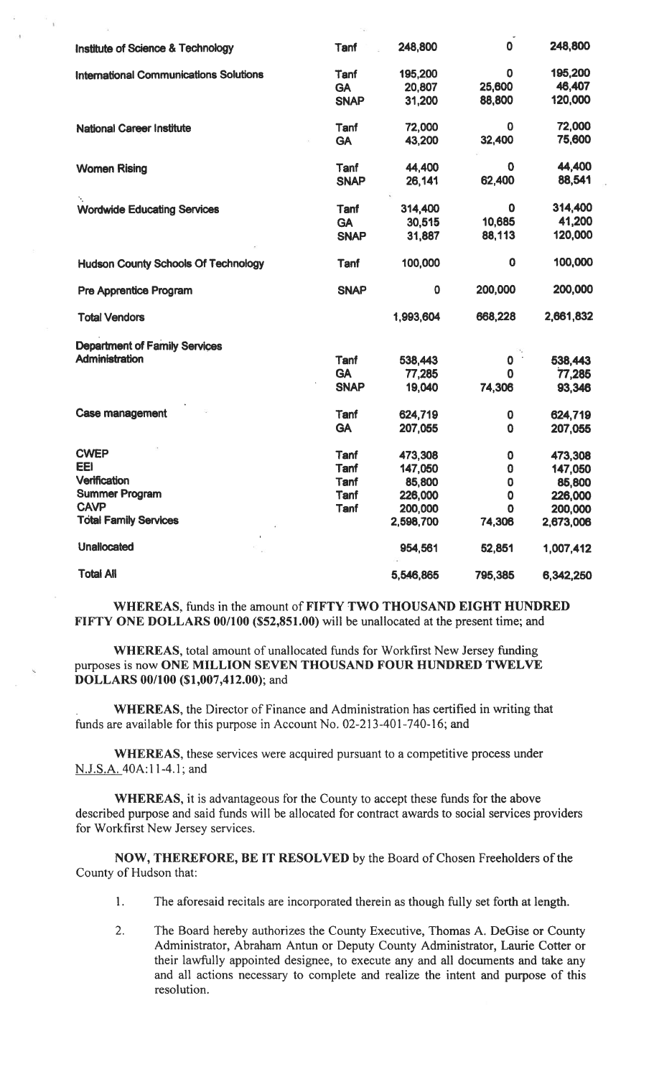| Institute of Science & Technology             | <b>Tanf</b> | 248,800     | $\mathbf 0$ | 248,800   |
|-----------------------------------------------|-------------|-------------|-------------|-----------|
| <b>International Communications Solutions</b> | <b>Tanf</b> | 195,200     | 0           | 195,200   |
|                                               | <b>GA</b>   | 20,807      | 25,600      | 46,407    |
|                                               | <b>SNAP</b> | 31,200      | 88,800      | 120,000   |
| <b>National Career Institute</b>              | Tanf        | 72,000      | 0           | 72,000    |
|                                               | <b>GA</b>   | 43,200      | 32,400      | 75,600    |
| <b>Women Rising</b>                           | <b>Tanf</b> | 44,400      | 0           | 44,400    |
|                                               | <b>SNAP</b> | 26,141      | 62,400      | 88,541    |
| <b>Wordwide Educating Services</b>            | Tanf        | 314,400     | 0           | 314,400   |
|                                               | <b>GA</b>   | 30,515      | 10,685      | 41,200    |
|                                               | <b>SNAP</b> | 31,887      | 88,113      | 120,000   |
| <b>Hudson County Schools Of Technology</b>    | <b>Tanf</b> | 100,000     | $\mathbf 0$ | 100,000   |
| <b>Pre Apprentice Program</b>                 | <b>SNAP</b> | $\mathbf 0$ | 200,000     | 200,000   |
| <b>Total Vendors</b>                          |             | 1,993,604   | 668,228     | 2,661,832 |
| <b>Department of Family Services</b>          |             |             |             |           |
| Administration                                | <b>Tanf</b> | 538,443     | $\mathbf 0$ | 538,443   |
|                                               | <b>GA</b>   | 77,285      | 0           | 77,285    |
|                                               | <b>SNAP</b> | 19,040      | 74,306      | 93,346    |
| <b>Case management</b>                        | Tanf        | 624,719     | 0           | 624,719   |
|                                               | <b>GA</b>   | 207,055     | 0           | 207,055   |
| <b>CWEP</b>                                   | Tanf        | 473,308     | $\mathbf 0$ | 473,308   |
| EEI                                           | <b>Tanf</b> | 147,050     | $\mathbf 0$ | 147,050   |
| <b>Verification</b>                           | <b>Tanf</b> | 85,800      | $\bf{0}$    | 85,800    |
| <b>Summer Program</b>                         | <b>Tanf</b> | 226,000     | 0           | 226,000   |
| <b>CAVP</b>                                   | <b>Tanf</b> | 200,000     | 0           | 200,000   |
| <b>Total Family Services</b>                  |             | 2,598,700   | 74,306      | 2,673,006 |
| <b>Unallocated</b>                            |             | 954,561     | 52,851      | 1,007,412 |
| <b>Total All</b>                              |             | 5,546,865   | 795,385     | 6,342,250 |

WHEREAS, funds in the amount of FIFTY TWO THOUSAND EIGHT HUNDRED FIFTY ONE DOLLARS 00/100 (\$52,851.00) will be unallocated at the present time; and

WHEREAS, total amount of unallocated funds for Workfirst New Jersey finding purposes is now ONE MILLION SEVEN THOUSAND FOUR HUNDRED TWELVE DOLLARS 00/100 (\$1,007,412.00); and

WHEREAS, the Director of Finance and Administration has certified in writing that funds are available for this purpose in Account No. 02-213-401-740-16; and

WHEREAS, these services were acquired pursuant to a competitive process under N.J.S.A. 40A:1 1-4.1; and

WHEREAS, it is advantageous for the County to accept these funds for the above described purpose and said funds will be allocated for contract awards to social services providers for Workfirst New Jersey services.

NOW, THEREFORE, BE IT RESOLVED by the Board of Chosen Freeholders of the County of Hudson that:

- 1, The aforesaid recitals are incorporated therein as though fully set forth at length.
- 2. The Board hereby authorizes the County Executive, Thomas A. DeGise or County Administrator, Abraham Antun or Deputy County Administrator, Laurie Cotter or their lawfully appointed designee, to execute any and all documents and take any and all actions necessary to complete and realize the intent and purpose of this resolution.